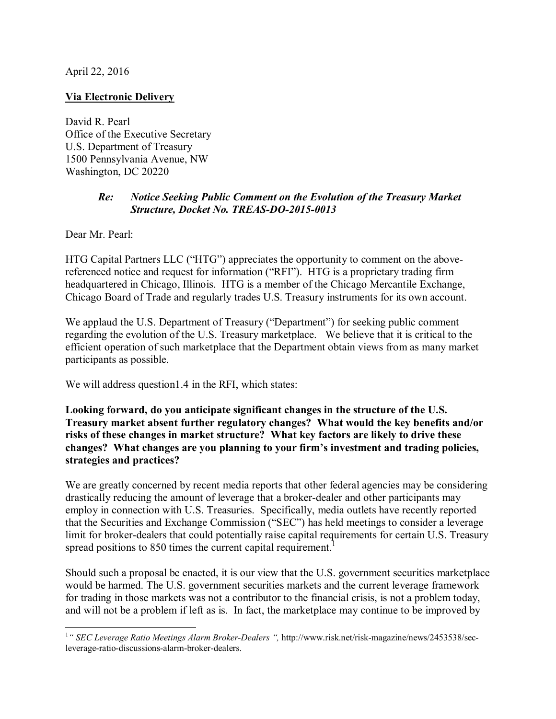April 22, 2016

## **Via Electronic Delivery**

David R. Pearl Office of the Executive Secretary U.S. Department of Treasury 1500 Pennsylvania Avenue, NW Washington, DC 20220

## *Re: Notice Seeking Public Comment on the Evolution of the Treasury Market Structure, Docket No. TREAS-DO-2015-0013*

Dear Mr. Pearl:

HTG Capital Partners LLC ("HTG") appreciates the opportunity to comment on the abovereferenced notice and request for information ("RFI"). HTG is a proprietary trading firm headquartered in Chicago, Illinois. HTG is a member of the Chicago Mercantile Exchange, Chicago Board of Trade and regularly trades U.S. Treasury instruments for its own account.

We applaud the U.S. Department of Treasury ("Department") for seeking public comment regarding the evolution of the U.S. Treasury marketplace. We believe that it is critical to the efficient operation of such marketplace that the Department obtain views from as many market participants as possible.

We will address question 1.4 in the RFI, which states:

**Looking forward, do you anticipate significant changes in the structure of the U.S. Treasury market absent further regulatory changes? What would the key benefits and/or risks of these changes in market structure? What key factors are likely to drive these changes? What changes are you planning to your firm's investment and trading policies, strategies and practices?**

We are greatly concerned by recent media reports that other federal agencies may be considering drastically reducing the amount of leverage that a broker-dealer and other participants may employ in connection with U.S. Treasuries. Specifically, media outlets have recently reported that the Securities and Exchange Commission ("SEC") has held meetings to consider a leverage limit for broker-dealers that could potentially raise capital requirements for certain U.S. Treasury spread positions to 850 times the current capital requirement.<sup>1</sup>

Should such a proposal be enacted, it is our view that the U.S. government securities marketplace would be harmed. The U.S. government securities markets and the current leverage framework for trading in those markets was not a contributor to the financial crisis, is not a problem today, and will not be a problem if left as is. In fact, the marketplace may continue to be improved by

 1 *" SEC Leverage Ratio Meetings Alarm Broker-Dealers ",* http://www.risk.net/risk-magazine/news/2453538/secleverage-ratio-discussions-alarm-broker-dealers.